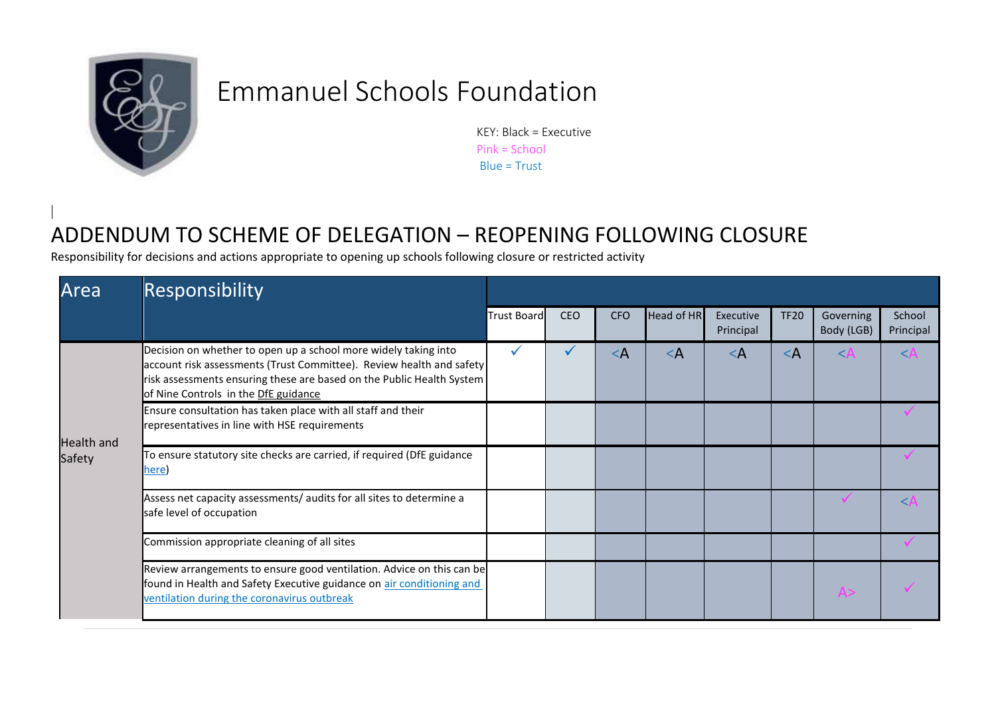

## Emmanuel Schools Foundation

KEY: Black = Executive Pink = School Blue = Trust

## ADDENDUM TO SCHEME OF DELEGATION – REOPENING FOLLOWING CLOSURE

Responsibility for decisions and actions appropriate to opening up schools following closure or restricted activity

| Area       | Responsibility                                                                                                                                                                                                                                           |             |            |            |            |                        |             |                         |                     |
|------------|----------------------------------------------------------------------------------------------------------------------------------------------------------------------------------------------------------------------------------------------------------|-------------|------------|------------|------------|------------------------|-------------|-------------------------|---------------------|
|            |                                                                                                                                                                                                                                                          | Trust Board | <b>CEO</b> | <b>CFO</b> | Head of HR | Executive<br>Principal | <b>TF20</b> | Governing<br>Body (LGB) | School<br>Principal |
|            | Decision on whether to open up a school more widely taking into<br>account risk assessments (Trust Committee). Review health and safety<br>risk assessments ensuring these are based on the Public Health System<br>of Nine Controls in the DfE guidance |             |            | $\leq$ A   | $\lt A$    | $\leq$ A               | $\lt$ A     | KΑ                      | $\angle \mathbb{A}$ |
| Health and | Ensure consultation has taken place with all staff and their<br>representatives in line with HSE requirements                                                                                                                                            |             |            |            |            |                        |             |                         |                     |
| Safety     | To ensure statutory site checks are carried, if required (DfE guidance<br>here)                                                                                                                                                                          |             |            |            |            |                        |             |                         |                     |
|            | Assess net capacity assessments/ audits for all sites to determine a<br>safe level of occupation                                                                                                                                                         |             |            |            |            |                        |             |                         | $\angle$ $\Delta$   |
|            | Commission appropriate cleaning of all sites                                                                                                                                                                                                             |             |            |            |            |                        |             |                         |                     |
|            | Review arrangements to ensure good ventilation. Advice on this can be<br>found in Health and Safety Executive guidance on air conditioning and<br>ventilation during the coronavirus outbreak                                                            |             |            |            |            |                        |             | A                       |                     |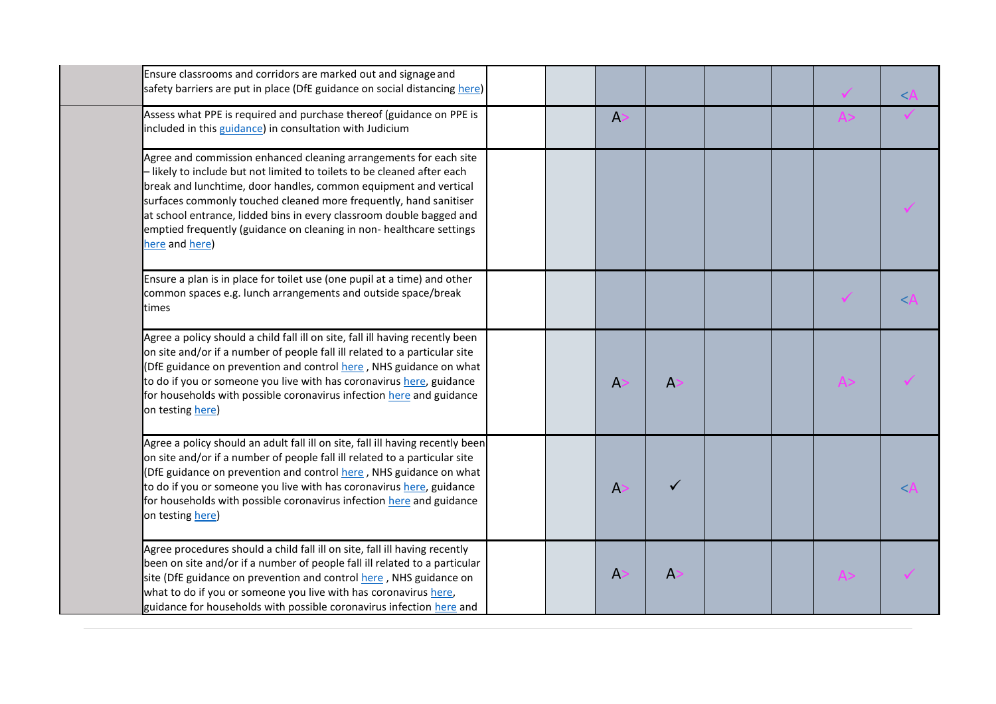| Ensure classrooms and corridors are marked out and signage and<br>safety barriers are put in place (DfE guidance on social distancing here)                                                                                                                                                                                                                                                                                                             |  |              |              |  | $\lt$ |
|---------------------------------------------------------------------------------------------------------------------------------------------------------------------------------------------------------------------------------------------------------------------------------------------------------------------------------------------------------------------------------------------------------------------------------------------------------|--|--------------|--------------|--|-------|
| Assess what PPE is required and purchase thereof (guidance on PPE is<br>included in this guidance) in consultation with Judicium                                                                                                                                                                                                                                                                                                                        |  | A            |              |  |       |
| Agree and commission enhanced cleaning arrangements for each site<br>- likely to include but not limited to toilets to be cleaned after each<br>break and lunchtime, door handles, common equipment and vertical<br>surfaces commonly touched cleaned more frequently, hand sanitiser<br>at school entrance, lidded bins in every classroom double bagged and<br>emptied frequently (guidance on cleaning in non- healthcare settings<br>here and here) |  |              |              |  |       |
| Ensure a plan is in place for toilet use (one pupil at a time) and other<br>common spaces e.g. lunch arrangements and outside space/break<br>times                                                                                                                                                                                                                                                                                                      |  |              |              |  | $\lt$ |
| Agree a policy should a child fall ill on site, fall ill having recently been<br>on site and/or if a number of people fall ill related to a particular site<br>(DfE guidance on prevention and control here, NHS guidance on what<br>to do if you or someone you live with has coronavirus here, guidance<br>for households with possible coronavirus infection here and guidance<br>on testing here)                                                   |  | A            | $\mathsf{A}$ |  |       |
| Agree a policy should an adult fall ill on site, fall ill having recently been<br>on site and/or if a number of people fall ill related to a particular site<br>(DfE guidance on prevention and control here, NHS guidance on what<br>to do if you or someone you live with has coronavirus here, guidance<br>for households with possible coronavirus infection here and guidance<br>on testing here)                                                  |  | A            |              |  | <.    |
| Agree procedures should a child fall ill on site, fall ill having recently<br>been on site and/or if a number of people fall ill related to a particular<br>site (DfE guidance on prevention and control here, NHS guidance on<br>what to do if you or someone you live with has coronavirus here,<br>guidance for households with possible coronavirus infection here and                                                                              |  | $\mathsf{A}$ | A            |  |       |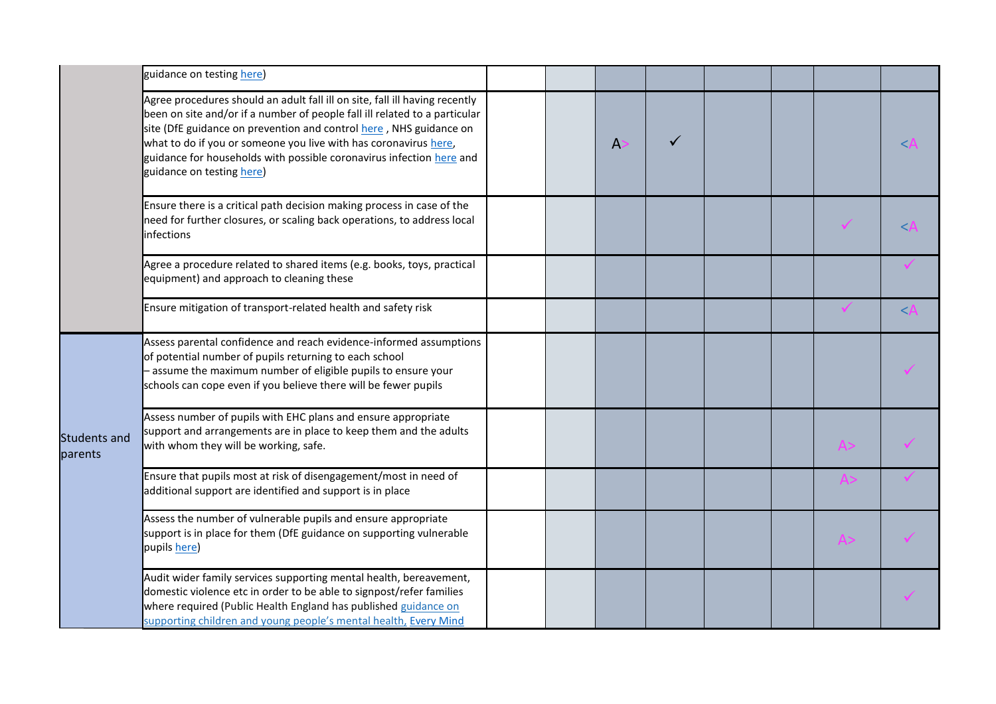|                                | guidance on testing here)                                                                                                                                                                                                                                                                                                                                                                                |  |   |  |  |       |
|--------------------------------|----------------------------------------------------------------------------------------------------------------------------------------------------------------------------------------------------------------------------------------------------------------------------------------------------------------------------------------------------------------------------------------------------------|--|---|--|--|-------|
|                                | Agree procedures should an adult fall ill on site, fall ill having recently<br>been on site and/or if a number of people fall ill related to a particular<br>site (DfE guidance on prevention and control here, NHS guidance on<br>what to do if you or someone you live with has coronavirus here,<br>guidance for households with possible coronavirus infection here and<br>guidance on testing here) |  | A |  |  | $\lt$ |
|                                | Ensure there is a critical path decision making process in case of the<br>need for further closures, or scaling back operations, to address local<br>infections                                                                                                                                                                                                                                          |  |   |  |  | <.    |
|                                | Agree a procedure related to shared items (e.g. books, toys, practical<br>equipment) and approach to cleaning these                                                                                                                                                                                                                                                                                      |  |   |  |  |       |
|                                | Ensure mitigation of transport-related health and safety risk                                                                                                                                                                                                                                                                                                                                            |  |   |  |  | $\lt$ |
|                                | Assess parental confidence and reach evidence-informed assumptions<br>of potential number of pupils returning to each school<br>- assume the maximum number of eligible pupils to ensure your<br>schools can cope even if you believe there will be fewer pupils                                                                                                                                         |  |   |  |  |       |
| <b>Students and</b><br>parents | Assess number of pupils with EHC plans and ensure appropriate<br>support and arrangements are in place to keep them and the adults<br>with whom they will be working, safe.                                                                                                                                                                                                                              |  |   |  |  |       |
|                                | Ensure that pupils most at risk of disengagement/most in need of<br>additional support are identified and support is in place                                                                                                                                                                                                                                                                            |  |   |  |  |       |
|                                | Assess the number of vulnerable pupils and ensure appropriate<br>support is in place for them (DfE guidance on supporting vulnerable<br>pupils here)                                                                                                                                                                                                                                                     |  |   |  |  |       |
|                                | Audit wider family services supporting mental health, bereavement,<br>domestic violence etc in order to be able to signpost/refer families<br>where required (Public Health England has published guidance on<br>supporting children and young people's mental health, Every Mind                                                                                                                        |  |   |  |  |       |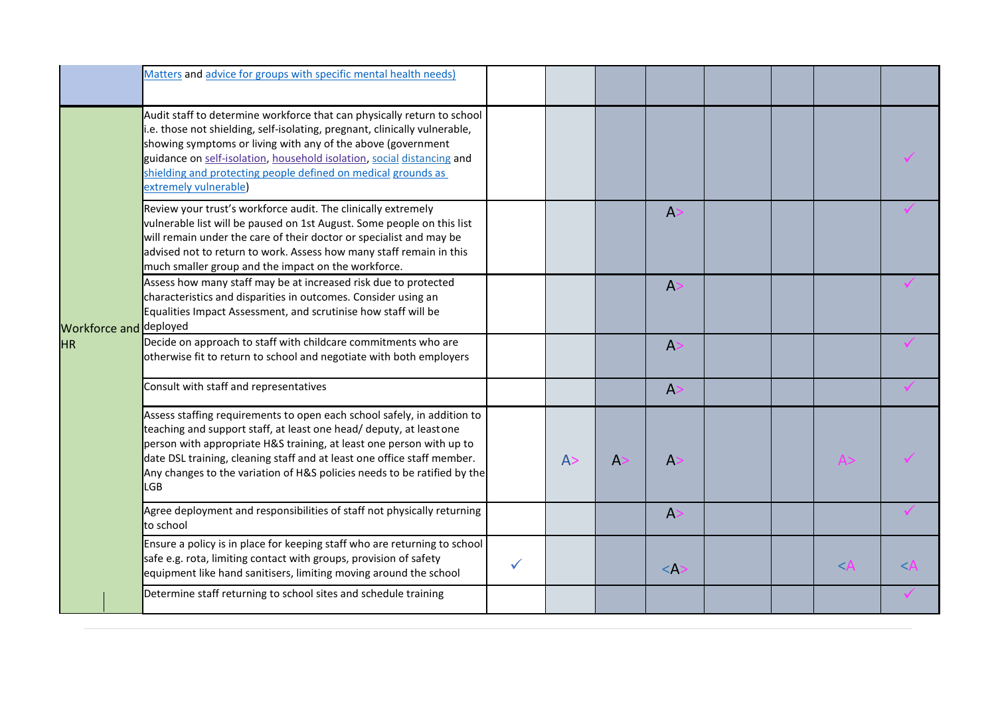|                        | Matters and advice for groups with specific mental health needs)                                                                                                                                                                                                                                                                                                                           |              |    |    |              |  |       |   |
|------------------------|--------------------------------------------------------------------------------------------------------------------------------------------------------------------------------------------------------------------------------------------------------------------------------------------------------------------------------------------------------------------------------------------|--------------|----|----|--------------|--|-------|---|
|                        | Audit staff to determine workforce that can physically return to school<br>.e. those not shielding, self-isolating, pregnant, clinically vulnerable,<br>showing symptoms or living with any of the above (government<br>guidance on self-isolation, household isolation, social distancing and<br>shielding and protecting people defined on medical grounds as<br>extremely vulnerable)   |              |    |    |              |  |       |   |
|                        | Review your trust's workforce audit. The clinically extremely<br>vulnerable list will be paused on 1st August. Some people on this list<br>will remain under the care of their doctor or specialist and may be<br>advised not to return to work. Assess how many staff remain in this<br>much smaller group and the impact on the workforce.                                               |              |    |    | A            |  |       |   |
| Workforce and deployed | Assess how many staff may be at increased risk due to protected<br>characteristics and disparities in outcomes. Consider using an<br>Equalities Impact Assessment, and scrutinise how staff will be                                                                                                                                                                                        |              |    |    | $\mathsf{A}$ |  |       |   |
| <b>HR</b>              | Decide on approach to staff with childcare commitments who are<br>otherwise fit to return to school and negotiate with both employers                                                                                                                                                                                                                                                      |              |    |    | A            |  |       |   |
|                        | Consult with staff and representatives                                                                                                                                                                                                                                                                                                                                                     |              |    |    | A            |  |       |   |
|                        | Assess staffing requirements to open each school safely, in addition to<br>teaching and support staff, at least one head/ deputy, at leastone<br>person with appropriate H&S training, at least one person with up to<br>date DSL training, cleaning staff and at least one office staff member.<br>Any changes to the variation of H&S policies needs to be ratified by the<br><b>LGB</b> |              | A> | А: | $\mathsf{A}$ |  |       |   |
|                        | Agree deployment and responsibilities of staff not physically returning<br>to school                                                                                                                                                                                                                                                                                                       |              |    |    | $\mathsf{A}$ |  |       |   |
|                        | Ensure a policy is in place for keeping staff who are returning to school<br>safe e.g. rota, limiting contact with groups, provision of safety<br>equipment like hand sanitisers, limiting moving around the school                                                                                                                                                                        | $\checkmark$ |    |    | $\leq$ A     |  | $\lt$ | < |
|                        | Determine staff returning to school sites and schedule training                                                                                                                                                                                                                                                                                                                            |              |    |    |              |  |       |   |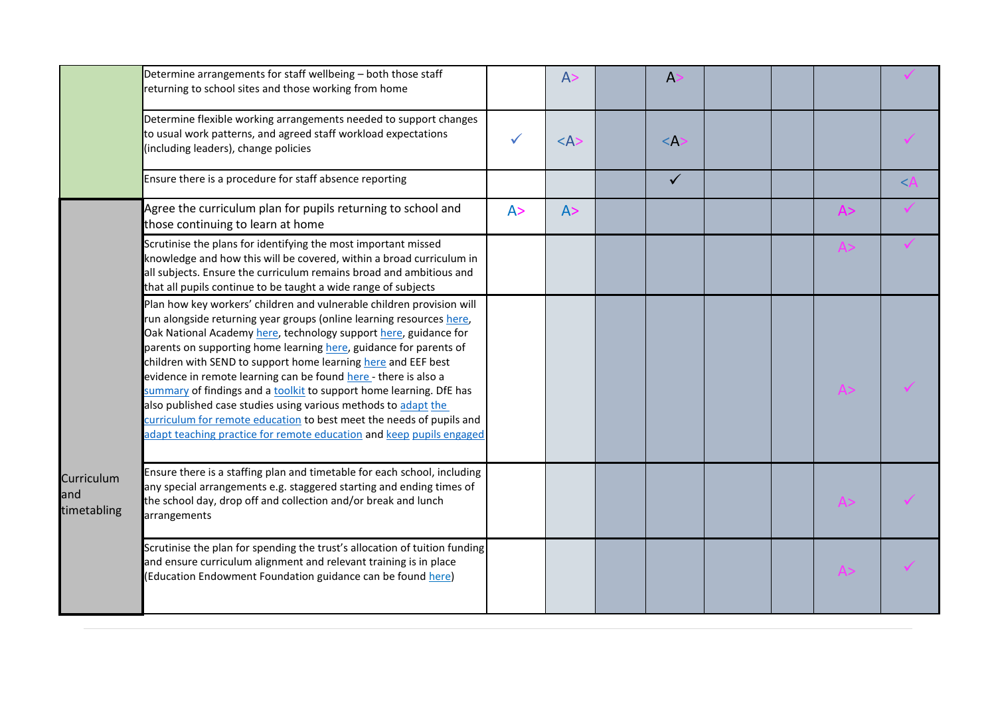|                                  | Determine arrangements for staff wellbeing - both those staff<br>returning to school sites and those working from home                                                                                                                                                                                                                                                                                                                                                                                                                                                                                                                                                                                              |     | A>                      | A            |  |     |        |
|----------------------------------|---------------------------------------------------------------------------------------------------------------------------------------------------------------------------------------------------------------------------------------------------------------------------------------------------------------------------------------------------------------------------------------------------------------------------------------------------------------------------------------------------------------------------------------------------------------------------------------------------------------------------------------------------------------------------------------------------------------------|-----|-------------------------|--------------|--|-----|--------|
|                                  | Determine flexible working arrangements needed to support changes<br>to usual work patterns, and agreed staff workload expectations<br>(including leaders), change policies                                                                                                                                                                                                                                                                                                                                                                                                                                                                                                                                         |     | $<\mathsf{A}\mathsf{>}$ | $\leq$ A:    |  |     |        |
|                                  | Ensure there is a procedure for staff absence reporting                                                                                                                                                                                                                                                                                                                                                                                                                                                                                                                                                                                                                                                             |     |                         | $\checkmark$ |  |     | $\leq$ |
|                                  | Agree the curriculum plan for pupils returning to school and<br>those continuing to learn at home                                                                                                                                                                                                                                                                                                                                                                                                                                                                                                                                                                                                                   | A > | A >                     |              |  | A>  |        |
|                                  | Scrutinise the plans for identifying the most important missed<br>knowledge and how this will be covered, within a broad curriculum in<br>all subjects. Ensure the curriculum remains broad and ambitious and<br>that all pupils continue to be taught a wide range of subjects                                                                                                                                                                                                                                                                                                                                                                                                                                     |     |                         |              |  |     |        |
|                                  | Plan how key workers' children and vulnerable children provision will<br>run alongside returning year groups (online learning resources here,<br>Oak National Academy here, technology support here, guidance for<br>parents on supporting home learning here, guidance for parents of<br>children with SEND to support home learning here and EEF best<br>evidence in remote learning can be found here - there is also a<br>summary of findings and a toolkit to support home learning. DfE has<br>also published case studies using various methods to adapt the<br>curriculum for remote education to best meet the needs of pupils and<br>adapt teaching practice for remote education and keep pupils engaged |     |                         |              |  | A > |        |
| Curriculum<br>and<br>timetabling | Ensure there is a staffing plan and timetable for each school, including<br>any special arrangements e.g. staggered starting and ending times of<br>the school day, drop off and collection and/or break and lunch<br>arrangements                                                                                                                                                                                                                                                                                                                                                                                                                                                                                  |     |                         |              |  | A   |        |
|                                  | Scrutinise the plan for spending the trust's allocation of tuition funding<br>and ensure curriculum alignment and relevant training is in place<br>(Education Endowment Foundation guidance can be found here)                                                                                                                                                                                                                                                                                                                                                                                                                                                                                                      |     |                         |              |  |     |        |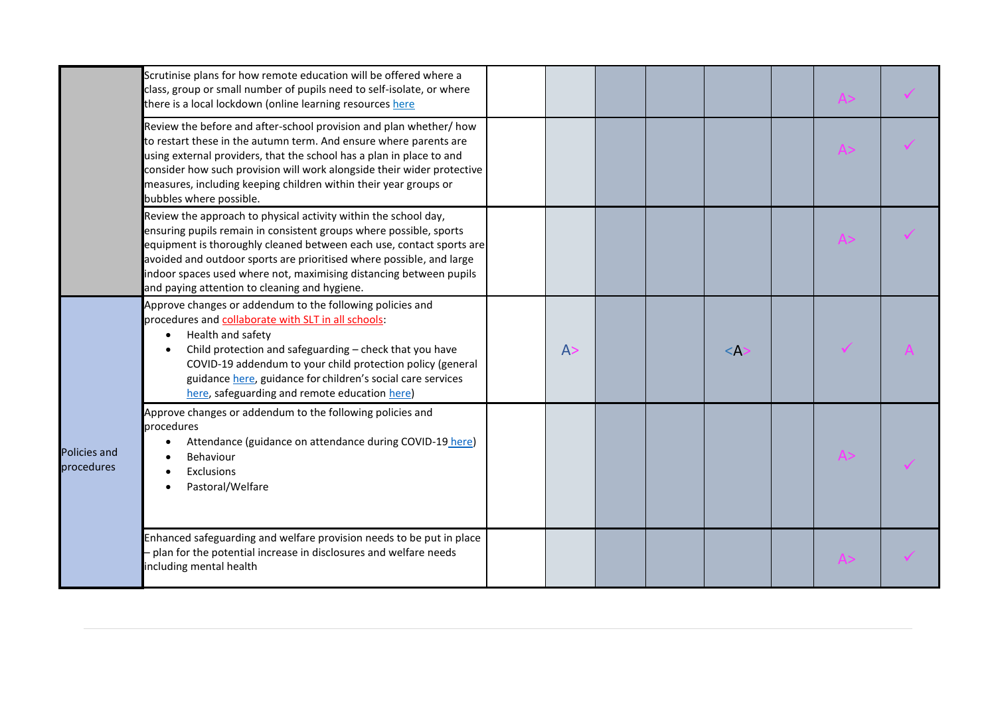|                            | Scrutinise plans for how remote education will be offered where a<br>class, group or small number of pupils need to self-isolate, or where<br>there is a local lockdown (online learning resources here                                                                                                                                                                                                      |    |  |          |  |  |
|----------------------------|--------------------------------------------------------------------------------------------------------------------------------------------------------------------------------------------------------------------------------------------------------------------------------------------------------------------------------------------------------------------------------------------------------------|----|--|----------|--|--|
|                            | Review the before and after-school provision and plan whether/ how<br>to restart these in the autumn term. And ensure where parents are<br>using external providers, that the school has a plan in place to and<br>consider how such provision will work alongside their wider protective<br>measures, including keeping children within their year groups or<br>bubbles where possible.                     |    |  |          |  |  |
|                            | Review the approach to physical activity within the school day,<br>ensuring pupils remain in consistent groups where possible, sports<br>equipment is thoroughly cleaned between each use, contact sports are<br>avoided and outdoor sports are prioritised where possible, and large<br>indoor spaces used where not, maximising distancing between pupils<br>and paying attention to cleaning and hygiene. |    |  |          |  |  |
|                            | Approve changes or addendum to the following policies and<br>procedures and collaborate with SLT in all schools:<br>Health and safety<br>$\bullet$<br>Child protection and safeguarding - check that you have<br>COVID-19 addendum to your child protection policy (general<br>guidance here, guidance for children's social care services<br>here, safeguarding and remote education here)                  | A> |  | $\leq$ A |  |  |
| Policies and<br>procedures | Approve changes or addendum to the following policies and<br>procedures<br>Attendance (guidance on attendance during COVID-19 here)<br>Behaviour<br>Exclusions<br>Pastoral/Welfare                                                                                                                                                                                                                           |    |  |          |  |  |
|                            | Enhanced safeguarding and welfare provision needs to be put in place<br>plan for the potential increase in disclosures and welfare needs<br>including mental health                                                                                                                                                                                                                                          |    |  |          |  |  |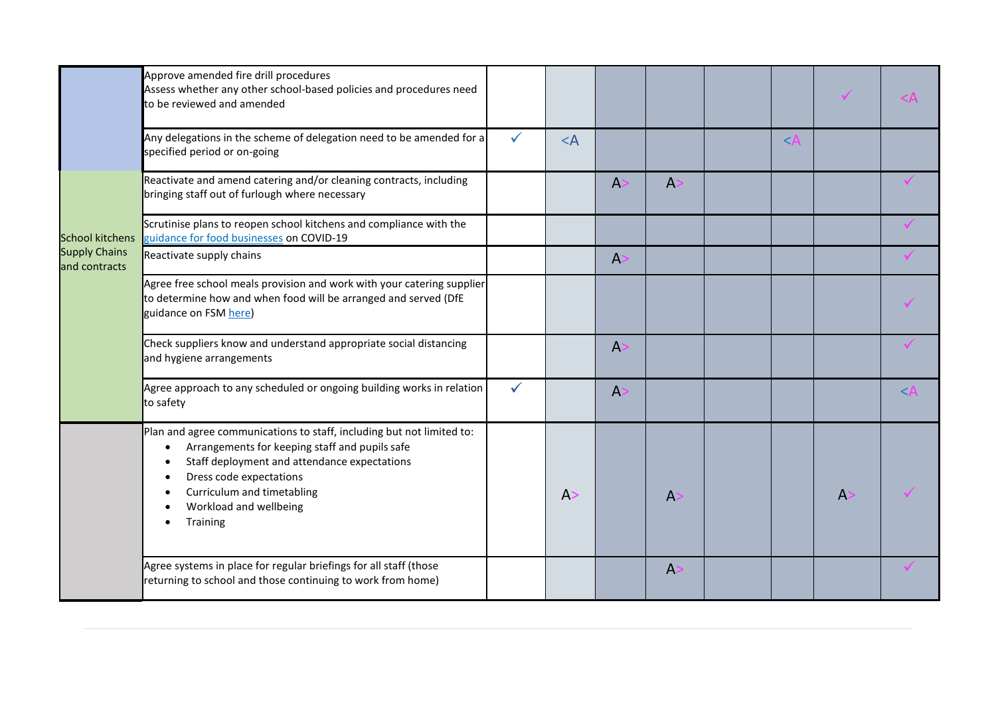|                                       | Approve amended fire drill procedures<br>Assess whether any other school-based policies and procedures need<br>to be reviewed and amended                                                                                                                                                                                                            |              |       |   |              |                                         | $\blacktriangledown$ | <Α        |
|---------------------------------------|------------------------------------------------------------------------------------------------------------------------------------------------------------------------------------------------------------------------------------------------------------------------------------------------------------------------------------------------------|--------------|-------|---|--------------|-----------------------------------------|----------------------|-----------|
|                                       | Any delegations in the scheme of delegation need to be amended for a<br>specified period or on-going                                                                                                                                                                                                                                                 |              | $<$ A |   |              | $\overline{\left\langle \right\rangle}$ |                      |           |
|                                       | Reactivate and amend catering and/or cleaning contracts, including<br>bringing staff out of furlough where necessary                                                                                                                                                                                                                                 |              |       | A | A            |                                         |                      |           |
| <b>School kitchens</b>                | Scrutinise plans to reopen school kitchens and compliance with the<br>guidance for food businesses on COVID-19                                                                                                                                                                                                                                       |              |       |   |              |                                         |                      |           |
| <b>Supply Chains</b><br>and contracts | Reactivate supply chains                                                                                                                                                                                                                                                                                                                             |              |       | A |              |                                         |                      |           |
|                                       | Agree free school meals provision and work with your catering supplier<br>to determine how and when food will be arranged and served (DfE<br>guidance on FSM here)                                                                                                                                                                                   |              |       |   |              |                                         |                      |           |
|                                       | Check suppliers know and understand appropriate social distancing<br>and hygiene arrangements                                                                                                                                                                                                                                                        |              |       | A |              |                                         |                      |           |
|                                       | Agree approach to any scheduled or ongoing building works in relation<br>to safety                                                                                                                                                                                                                                                                   | $\checkmark$ |       | A |              |                                         |                      | $<\,iota$ |
|                                       | Plan and agree communications to staff, including but not limited to:<br>Arrangements for keeping staff and pupils safe<br>$\bullet$<br>Staff deployment and attendance expectations<br>$\bullet$<br>Dress code expectations<br>$\bullet$<br>Curriculum and timetabling<br>$\bullet$<br>Workload and wellbeing<br>$\bullet$<br>Training<br>$\bullet$ |              | A >   |   | $\mathsf{A}$ |                                         | $\mathsf{A}$         |           |
|                                       | Agree systems in place for regular briefings for all staff (those<br>returning to school and those continuing to work from home)                                                                                                                                                                                                                     |              |       |   | $\mathsf{A}$ |                                         |                      |           |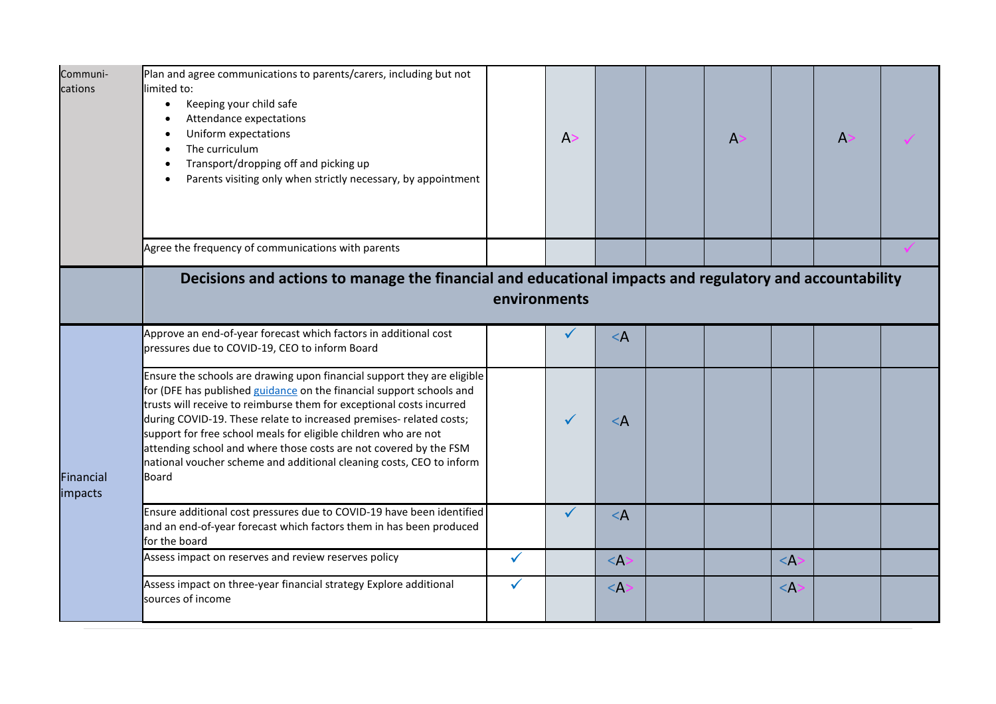| Communi-<br>cations  | Plan and agree communications to parents/carers, including but not<br>limited to:<br>Keeping your child safe<br>$\bullet$<br>Attendance expectations<br>$\bullet$<br>Uniform expectations<br>$\bullet$<br>The curriculum<br>$\bullet$<br>Transport/dropping off and picking up<br>$\bullet$<br>Parents visiting only when strictly necessary, by appointment<br>$\bullet$                                                                                                                                               |              | A>           |          | A |           | $\overline{A}$ |  |
|----------------------|-------------------------------------------------------------------------------------------------------------------------------------------------------------------------------------------------------------------------------------------------------------------------------------------------------------------------------------------------------------------------------------------------------------------------------------------------------------------------------------------------------------------------|--------------|--------------|----------|---|-----------|----------------|--|
|                      | Agree the frequency of communications with parents                                                                                                                                                                                                                                                                                                                                                                                                                                                                      |              |              |          |   |           |                |  |
|                      | Decisions and actions to manage the financial and educational impacts and regulatory and accountability                                                                                                                                                                                                                                                                                                                                                                                                                 | environments |              |          |   |           |                |  |
|                      | Approve an end-of-year forecast which factors in additional cost<br>pressures due to COVID-19, CEO to inform Board                                                                                                                                                                                                                                                                                                                                                                                                      |              | $\checkmark$ | $\leq$ A |   |           |                |  |
| Financial<br>impacts | Ensure the schools are drawing upon financial support they are eligible<br>for (DFE has published guidance on the financial support schools and<br>trusts will receive to reimburse them for exceptional costs incurred<br>during COVID-19. These relate to increased premises- related costs;<br>support for free school meals for eligible children who are not<br>attending school and where those costs are not covered by the FSM<br>national voucher scheme and additional cleaning costs, CEO to inform<br>Board |              | $\checkmark$ | $\leq$ A |   |           |                |  |
|                      | Ensure additional cost pressures due to COVID-19 have been identified<br>and an end-of-year forecast which factors them in has been produced<br>for the board                                                                                                                                                                                                                                                                                                                                                           |              | $\checkmark$ | $\leq$ A |   |           |                |  |
|                      | Assess impact on reserves and review reserves policy                                                                                                                                                                                                                                                                                                                                                                                                                                                                    | $\checkmark$ |              | $\leq$ A |   | $\leq$ A: |                |  |
|                      | Assess impact on three-year financial strategy Explore additional<br>sources of income                                                                                                                                                                                                                                                                                                                                                                                                                                  | ✓            |              | $<$ A:   |   | $\leq$ A  |                |  |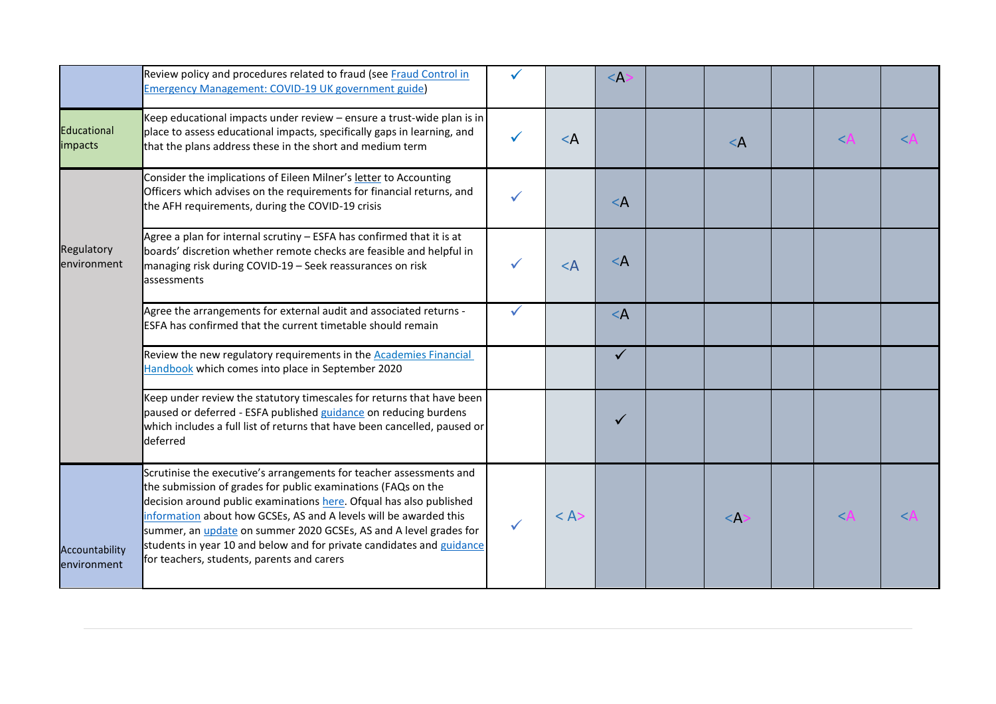|                               | Review policy and procedures related to fraud (see Fraud Control in<br><b>Emergency Management: COVID-19 UK government guide)</b>                                                                                                                                                                                                                                                                                                                                                   |          | $\leq$ A     |                                                                                     |                    |       |
|-------------------------------|-------------------------------------------------------------------------------------------------------------------------------------------------------------------------------------------------------------------------------------------------------------------------------------------------------------------------------------------------------------------------------------------------------------------------------------------------------------------------------------|----------|--------------|-------------------------------------------------------------------------------------|--------------------|-------|
| <b>Educational</b><br>impacts | Keep educational impacts under review - ensure a trust-wide plan is in<br>place to assess educational impacts, specifically gaps in learning, and<br>that the plans address these in the short and medium term                                                                                                                                                                                                                                                                      | $\leq$ A |              | $\leq$ A                                                                            | $\lt$              | $\lt$ |
|                               | Consider the implications of Eileen Milner's letter to Accounting<br>Officers which advises on the requirements for financial returns, and<br>the AFH requirements, during the COVID-19 crisis                                                                                                                                                                                                                                                                                      |          | $\leq$ A     |                                                                                     |                    |       |
| Regulatory<br>environment     | Agree a plan for internal scrutiny - ESFA has confirmed that it is at<br>boards' discretion whether remote checks are feasible and helpful in<br>managing risk during COVID-19 - Seek reassurances on risk<br>assessments                                                                                                                                                                                                                                                           | $<$ A    | $\leq$ A     |                                                                                     |                    |       |
|                               | Agree the arrangements for external audit and associated returns -<br><b>ESFA has confirmed that the current timetable should remain</b>                                                                                                                                                                                                                                                                                                                                            |          | $\leq$ A     |                                                                                     |                    |       |
|                               | Review the new regulatory requirements in the <b>Academies Financial</b><br>Handbook which comes into place in September 2020                                                                                                                                                                                                                                                                                                                                                       |          | $\checkmark$ |                                                                                     |                    |       |
|                               | Keep under review the statutory timescales for returns that have been<br>paused or deferred - ESFA published guidance on reducing burdens<br>which includes a full list of returns that have been cancelled, paused or<br>deferred                                                                                                                                                                                                                                                  |          |              |                                                                                     |                    |       |
| Accountability<br>environment | Scrutinise the executive's arrangements for teacher assessments and<br>the submission of grades for public examinations (FAQs on the<br>decision around public examinations here. Ofqual has also published<br>information about how GCSEs, AS and A levels will be awarded this<br>summer, an <i>update</i> on summer 2020 GCSEs, AS and A level grades for<br>students in year 10 and below and for private candidates and guidance<br>for teachers, students, parents and carers | < A      |              | <a:< td=""><td><math>&lt;\!\!\!\!\lambda</math></td><td><math>\lt</math></td></a:<> | $<\!\!\!\!\lambda$ | $\lt$ |